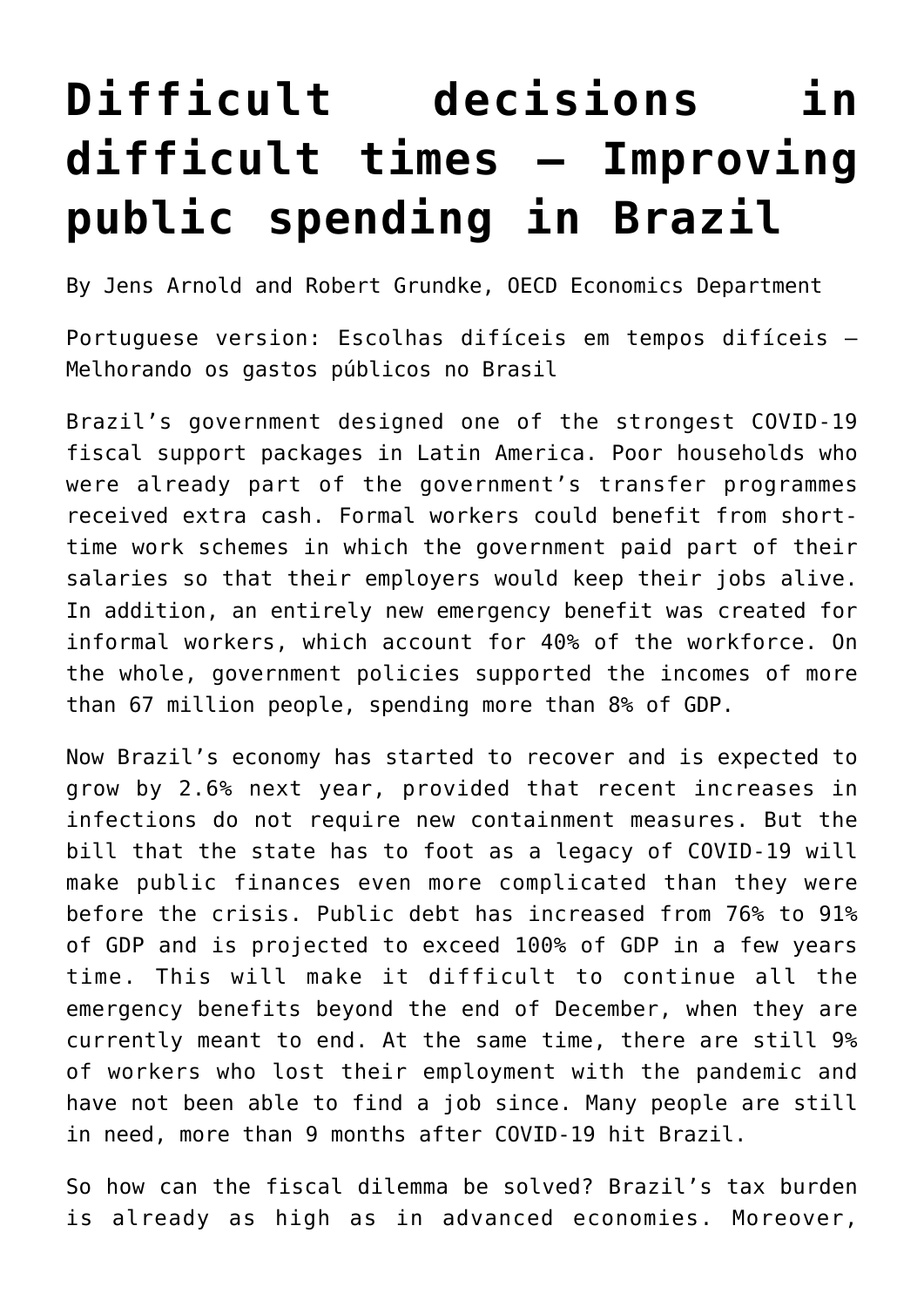## **[Difficult decisions in](https://oecdecoscope.blog/2020/12/16/difficult-decisions-in-difficult-times-improving-public-spending-in-brazil/) [difficult times – Improving](https://oecdecoscope.blog/2020/12/16/difficult-decisions-in-difficult-times-improving-public-spending-in-brazil/) [public spending in Brazil](https://oecdecoscope.blog/2020/12/16/difficult-decisions-in-difficult-times-improving-public-spending-in-brazil/)**

By Jens Arnold and Robert Grundke, OECD Economics Department

Portuguese version: [Escolhas difíceis em tempos difíceis –](https://oecdecoscope.blog/2020/12/16/escolhas-dificeis-em-tempos-dificeis-melhorando-os-gastos-publicos-no-brasil/) [Melhorando os gastos públicos no Brasil](https://oecdecoscope.blog/2020/12/16/escolhas-dificeis-em-tempos-dificeis-melhorando-os-gastos-publicos-no-brasil/)

Brazil's government designed one of the strongest COVID-19 fiscal support packages in Latin America. Poor households who were already part of the government's transfer programmes received extra cash. Formal workers could benefit from shorttime work schemes in which the government paid part of their salaries so that their employers would keep their jobs alive. In addition, an entirely new emergency benefit was created for informal workers, which account for 40% of the workforce. On the whole, government policies supported the incomes of more than 67 million people, spending more than 8% of GDP.

Now Brazil's economy has started to recover and is expected to grow by 2.6% next year, provided that recent increases in infections do not require new containment measures. But the bill that the state has to foot as a legacy of COVID-19 will make public finances even more complicated than they were before the crisis. Public debt has increased from 76% to 91% of GDP and is projected to exceed 100% of GDP in a few years time. This will make it difficult to continue all the emergency benefits beyond the end of December, when they are currently meant to end. At the same time, there are still 9% of workers who lost their employment with the pandemic and have not been able to find a job since. Many people are still in need, more than 9 months after COVID-19 hit Brazil.

So how can the fiscal dilemma be solved? Brazil's tax burden is already as high as in advanced economies. Moreover,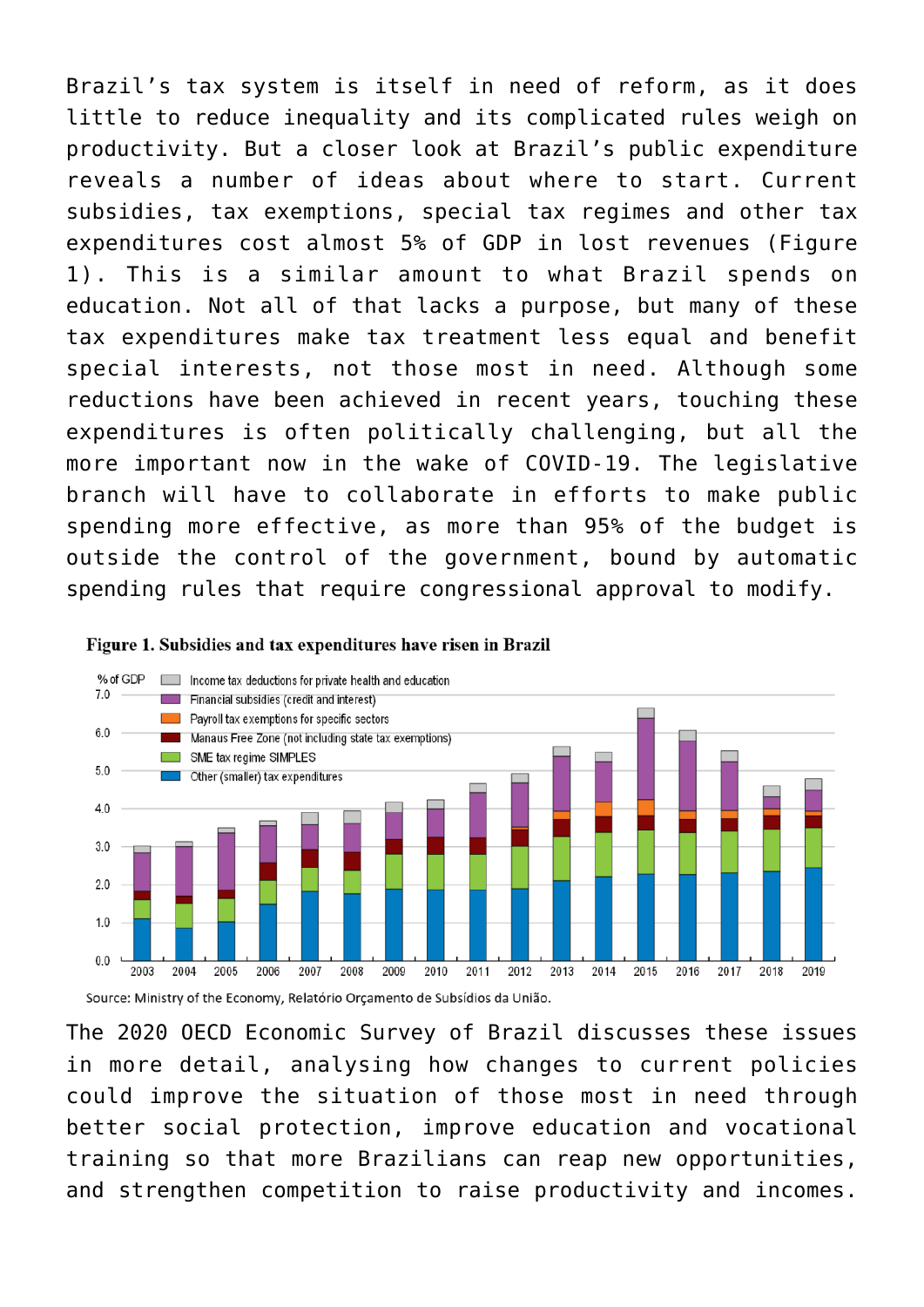Brazil's tax system is itself in need of reform, as it does little to reduce inequality and its complicated rules weigh on productivity. But a closer look at Brazil's public expenditure reveals a number of ideas about where to start. Current subsidies, tax exemptions, special tax regimes and other tax expenditures cost almost 5% of GDP in lost revenues (Figure 1). This is a similar amount to what Brazil spends on education. Not all of that lacks a purpose, but many of these tax expenditures make tax treatment less equal and benefit special interests, not those most in need. Although some reductions have been achieved in recent years, touching these expenditures is often politically challenging, but all the more important now in the wake of COVID-19. The legislative branch will have to collaborate in efforts to make public spending more effective, as more than 95% of the budget is outside the control of the government, bound by automatic spending rules that require congressional approval to modify.





Source: Ministry of the Economy, Relatório Orçamento de Subsídios da União.

The [2020 OECD Economic Survey of Brazi](http://www.oecd.org/economy/brazil-economic-snapshot/)l discusses these issues in more detail, analysing how changes to current policies could improve the situation of those most in need through better social protection, improve education and vocational training so that more Brazilians can reap new opportunities, and strengthen competition to raise productivity and incomes.